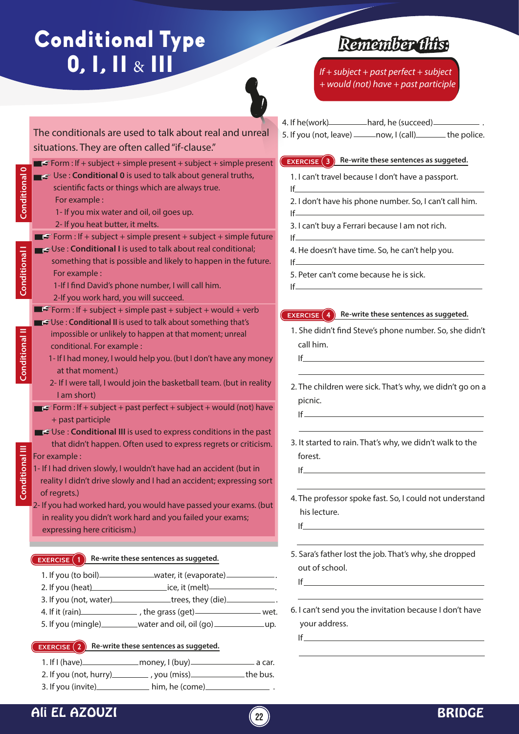# Conditional Type  $0, I, II & III$

The conditionals are used to talk about real and unreal



## *Remember this:*

*If + subject + past perfect + subject + would (not) have + past participle*

4. If he(work) hard, he (succeed) .

- **EXERCISE 3 Re-write these sentences as suggeted.**  1. I can't travel because I don't have a passport. If 2. I don't have his phone number. So, I can't call him. 5. If you (not, leave) \_\_\_\_\_\_ now, I (call) \_\_\_\_\_\_\_ the police.
	- 3. I can't buy a Ferrari because I am not rich.
	- 4. He doesn't have time. So, he can't help you.
	- 5. Peter can't come because he is sick.

#### **EXERCISE 4 Re-write these sentences as suggeted.**

- 1. She didn't find Steve's phone number. So, she didn't call him.
- 2. The children were sick. That's why, we didn't go on a picnic.
- 3. It started to rain. That's why, we didn't walk to the forest.
- 4. The professor spoke fast. So, I could not understand his lecture.
- 5. Sara's father lost the job. That's why, she dropped
- 6. I can't send you the invitation because I don't have your address.



- 2. If you (not, hurry) you (miss) the bus.  $3.$  If you (invite)  $\qquad \qquad \text{him, he (come)} \qquad \qquad \text{ .}$
- Ali EL AZOUZI **<sup>22</sup>** BRIDGE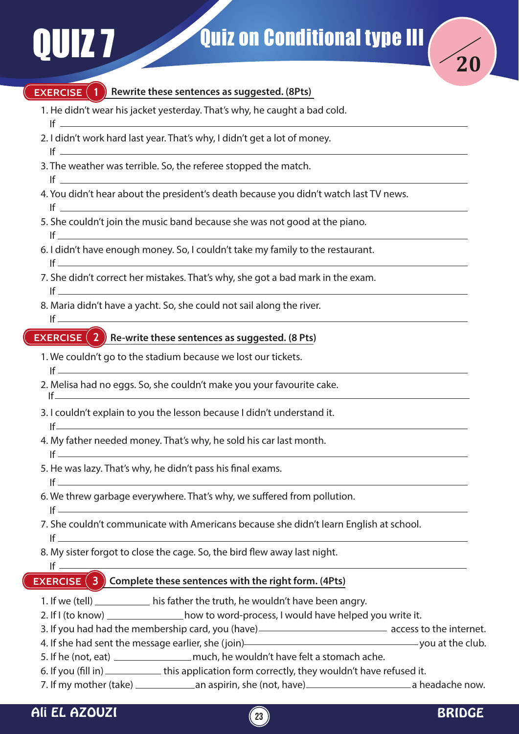

#### **EXERCISE (1)** Rewrite these sentences as suggested. (8Pts)

- 1. He didn't wear his jacket yesterday. That's why, he caught a bad cold.
- 2. I didn't work hard last year. That's why, I didn't get a lot of money.
- If  $\qquad$

 $If$ 

- 3. The weather was terrible. So, the referee stopped the match. If
- 4. You didn't hear about the president's death because you didn't watch last TV news.
- 5. She couldn't join the music band because she was not good at the piano.
- 6. I didn't have enough money. So, I couldn't take my family to the restaurant.
- 7. She didn't correct her mistakes. That's why, she got a bad mark in the exam.

#### $If$

 $If$ 

 $If$ 

 $If =$ 

 $If =$ 

 $If$   $-$ 

 $If$ 

If

If

8. Maria didn't have a yacht. So, she could not sail along the river.  $If$ 

### **EXERCISE (2)** Re-write these sentences as suggested. (8 Pts)

- 1. We couldn't go to the stadium because we lost our tickets.  $If$
- 2. Melisa had no eggs. So, she couldn't make you your favourite cake.
- 3. I couldn't explain to you the lesson because I didn't understand it.
- 4. My father needed money. That's why, he sold his car last month.
- 5. He was lazy. That's why, he didn't pass his final exams.
- 6. We threw garbage everywhere. That's why, we suffered from pollution.
- 7. She couldn't communicate with Americans because she didn't learn English at school. If
- 8. My sister forgot to close the cage. So, the bird flew away last night.

 $If$ 

### **EXERCISE 3 Complete these sentences with the right form. (4Pts)**

- 1. If we (tell) \_\_\_\_\_\_\_\_\_\_\_ his father the truth, he wouldn't have been angry.
- 2. If I (to know) how to word-process, I would have helped you write it.
- 3. If you had had the membership card, you (have) access to the internet.
- 4. If she had sent the message earlier, she (join)<br>  $\frac{1}{2}$  is the club.
- 5. If he (not, eat) much, he wouldn't have felt a stomach ache.
- 6. If you (fill in) \_\_\_\_\_\_\_\_\_\_\_\_\_\_ this application form correctly, they wouldn't have refused it.
- 7. If my mother (take) an aspirin, she (not, have) a headache now.